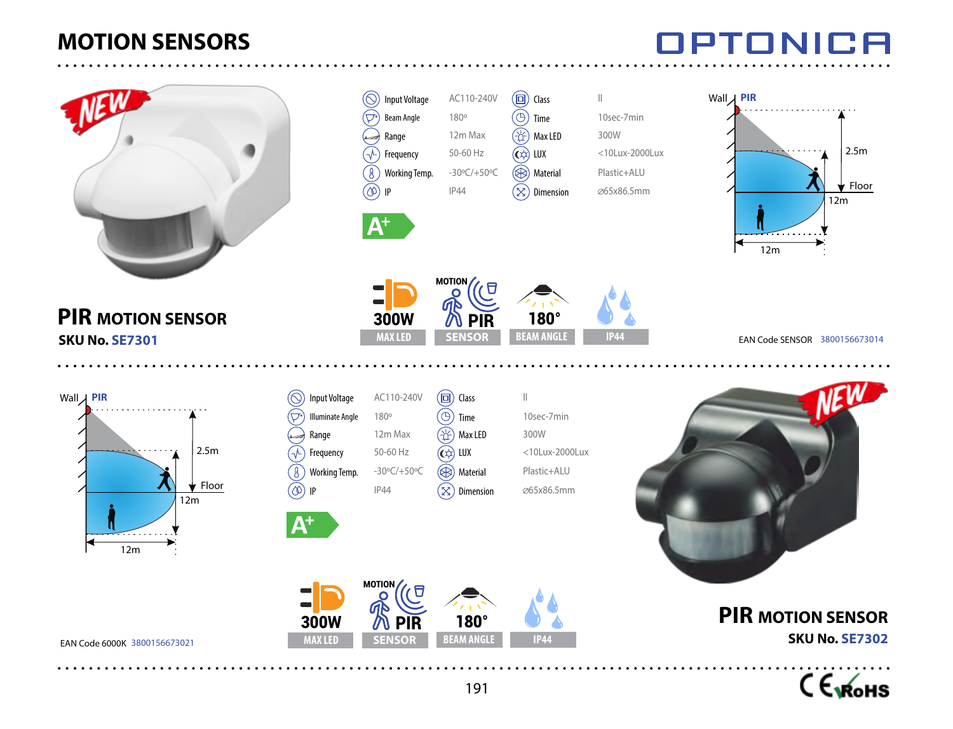

### **PIR MOTION SENSOR SKU No. SE7301**

EAN Code 6000K 3800156673021



Input Voltage AC110-240V Beam Angle 180<sup>o</sup> Range 12m Max  $\sqrt{ }$  Frequency 50-60 Hz Working Temp. -30ºC/+50ºC  $\circledcirc$  IP IP44

300W

 $\widehat{\nabla^{\bullet}}$ 

 ${\mathsf A}^{\!+}$ 

 $\boxed{ \Box}$  Class  $\boxed{ \parallel}$ 

180°

**MAX LED BEAM ANGLE IP44** 

んしょう いんじょう いっと しょうかい インタイル しんしょう じょうかん けいしん しゅうかい けいしょう じょうかい けいしん しゅうかい けいしゃ しゅうかい けいしゃ けいしゃ けいしゃ

**SENSOR** PIR

MOTION

Time 10sec-7min Max LED 300W

 $\left(\overrightarrow{C}\right)$  LUX <10Lux-2000Lux Material Plastic+ALU  $\infty$ ) Dimension  $\infty$ 65x86.5mm

**SKU No. SE7302**





# Wall **PIR** Floor 12m 2.5m

ГA

IPTONIA

12m

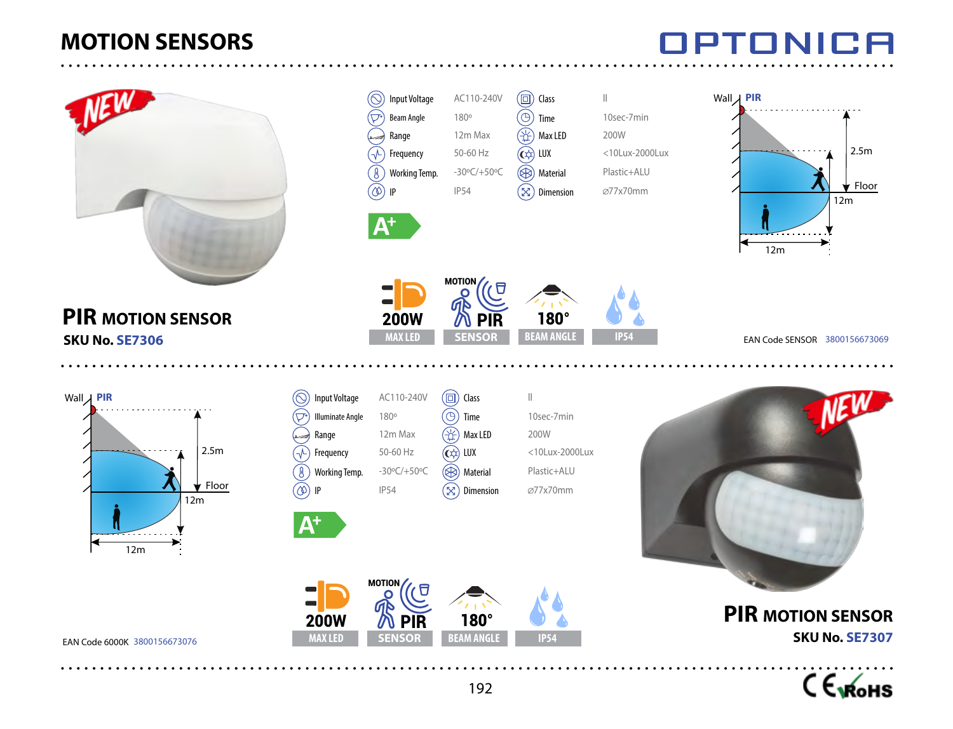# TONICA



C Exforms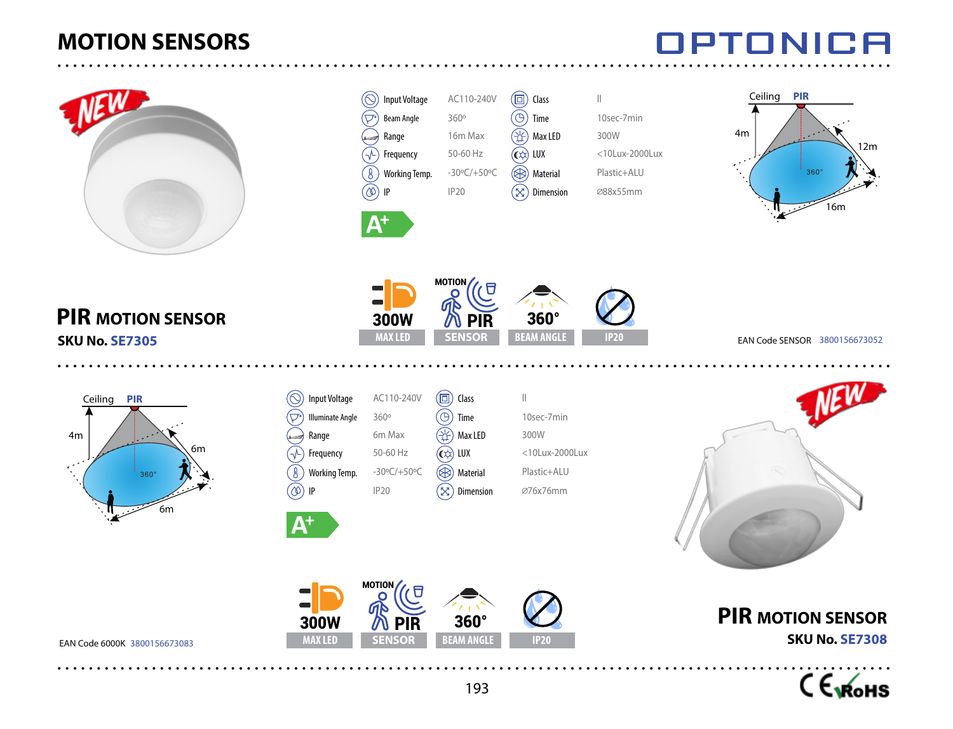

**PIR MOTION SENSOR**

6m

 $(\bigcirc$ ত

 $\mathcal{P}$ ₿  $^{\textcircled{\tiny{\textregistered}}}$ 

6m

**SKU No. SE7305**

Ceiling **PIR**

4m





EAN Code 6000K 3800156673083



**SKU No. SE7308**

**PIR MOTION SENSOR**

#### TDTANIE 78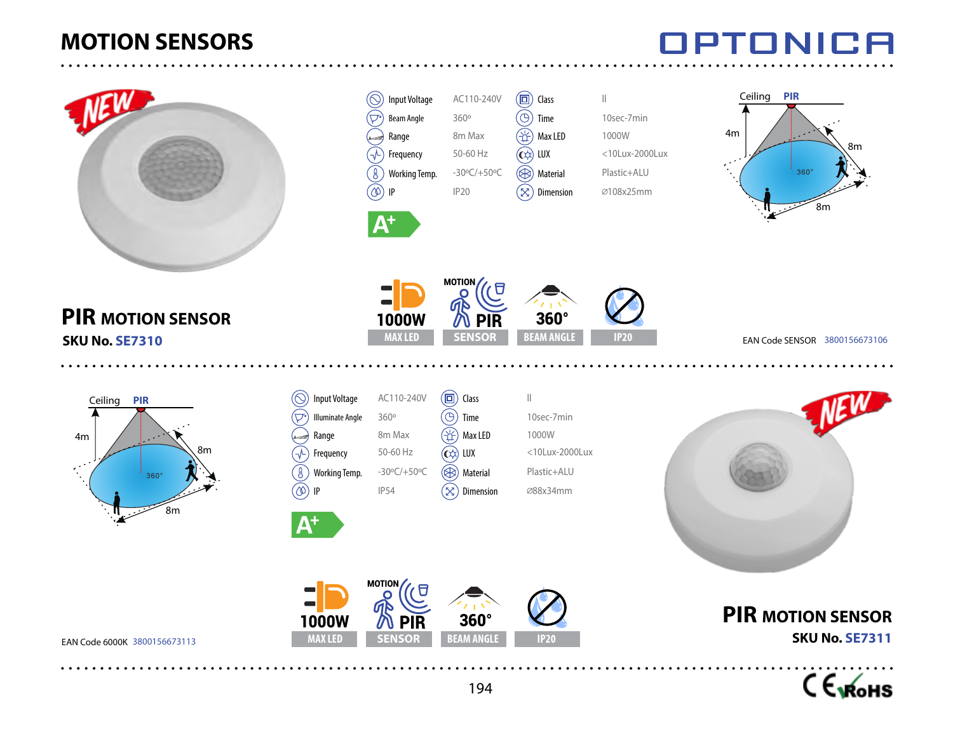

### **PIR MOTION SENSOR SKU No. SE7310**



| <b>Input Voltage</b>    | AC110-240V                     |
|-------------------------|--------------------------------|
| <b>Illuminate Angle</b> | 360°                           |
| Range                   | 8 <sub>m</sub> Max             |
| Frequency               | $50 - 60$ Hz                   |
| <b>Working Temp.</b>    | $-30^{\circ}$ (/+50 $^{\circ}$ |
| ΙP                      | <b>IP54</b>                    |
|                         |                                |

 $\overline{A^+}$ 



Input Voltage AC110-240V Beam Angle 360° Range 8m Max Frequency 50-60 Hz Working Temp. -30°C/+50°C

 $\circledcirc$  IP IP20

 $(\oslash)$ ⊙ੇ

> $\mathcal{P}$  $\textcircled{\scriptsize{R}}$

> > $\mathbf{\Lambda}^+$

1000W



**MAXLED SENSOR BEAM ANGLE** IP20

 $\Box$ 

**SENSOR** PIR

MOTION



360°

 $\boxed{ \Box}$  Class  $\boxed{||}$ 

Time 10sec-7min (2) Max LED 1000W

 $\left(\bigodot\right)$  LUX <10Lux-2000Lux Material Plastic+ALU Dimension ∅108x25mm





EAN Code 6000K 3800156673113





EAN Code SENSOR 3800156673106

**PIR MOTION SENSOR SKU No. SE7311**



# **IPTONICA**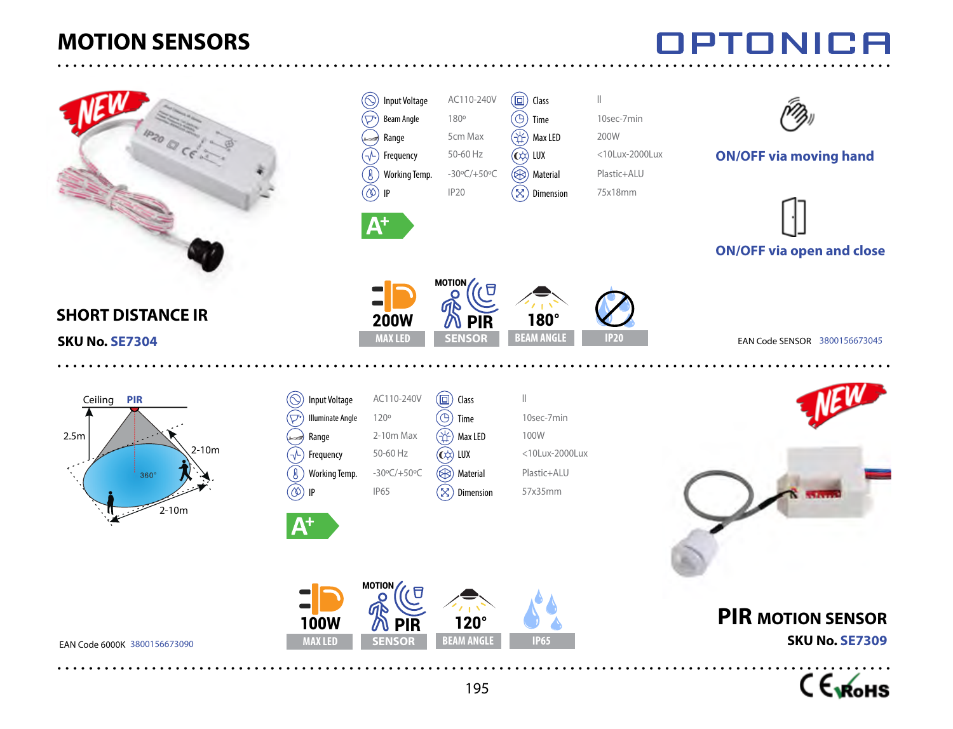





#### **SHORT DISTANCE IR**

**SKU No. SE7304**



| <b>Input Voltage</b>    | AC110-2            |
|-------------------------|--------------------|
| <b>Illuminate Angle</b> | 120°               |
| Range                   | $2-10m$ $N$        |
| Frequency               | 50-60 Hz           |
| Working Temp.           | $-30^{\circ}$ C/+5 |
| IP                      | <b>IP65</b>        |
|                         |                    |
|                         |                    |

EAN Code 6000K 3800156673090



IPTONICA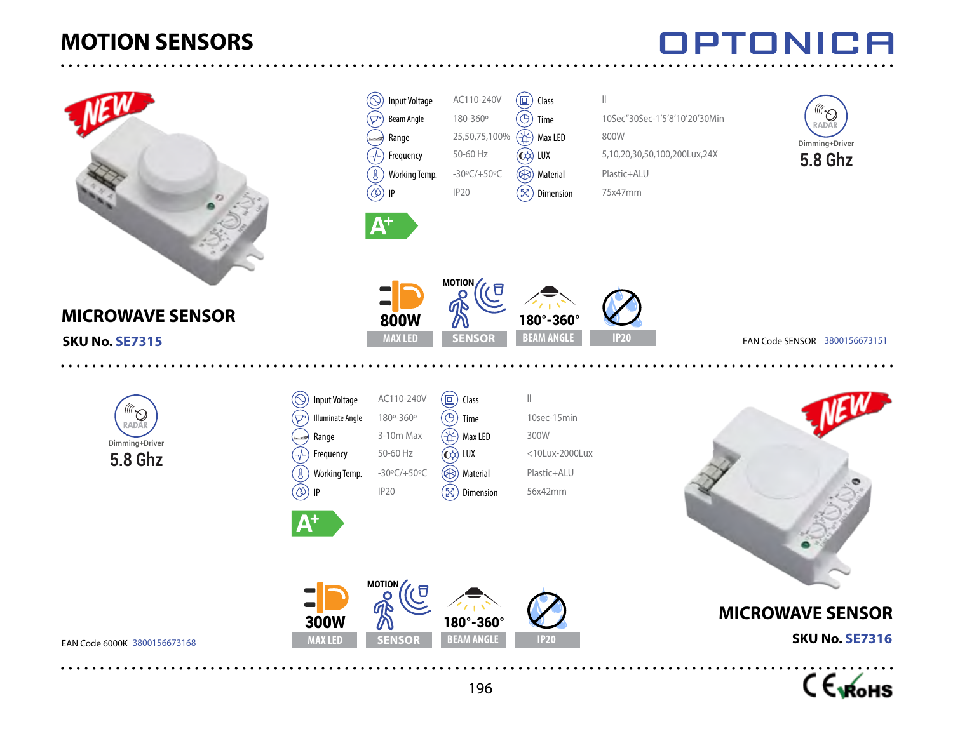



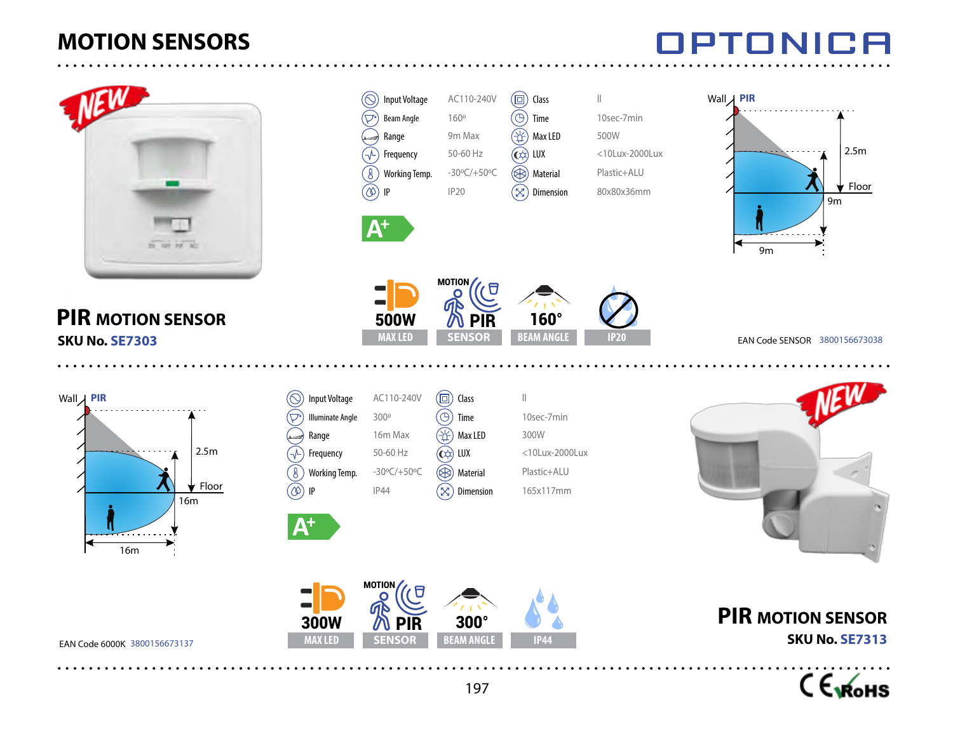

#### **PIR MOTION SENSOR SKU No. SE7303**



**SKU No. SE7313**



MOTION んいん しょうしょう インタイル しゅうしょう インタイル しゅうしょう かんしょう かんこうしょう じょうかい インタイル しゅうしょう かいじょう しょうしょう しょうしょう けいしゃ インタイン かいしゃ А 500W PIR **MAX LED BEAM ANGLE IP20 SENSOR** 

Input Voltage AC110-240V Beam Angle 160<sup>o</sup> Range 9m Max  $\sqrt{1}$  Frequency 50-60 Hz Working Temp. -30ºC/+50ºC  $\circledcirc$  IP IP20

 $\left(\bigcirc\right)$  $\widehat{\nabla^{\bullet}}$ 

 $\mathbf{A}^+$ 

160°

 $\left(\overrightarrow{\mathbf{C}}\right)$  LUX <10Lux-2000Lux Material Plastic+ALU Dimension 80x80x36mm

 $\boxed{ \Box}$  Class  $\boxed{ \parallel}$ Time 10sec-7min  $\circ$  Max LED 500W

EAN Code SENSOR 3800156673038

9m

Floor 9m 2.5m

IDTANII 78

Wall **PIR**

197

**MAX LED SENSOR BEAM ANGLE** IP44

**SENSOR** 

EAN Code 6000K 3800156673137